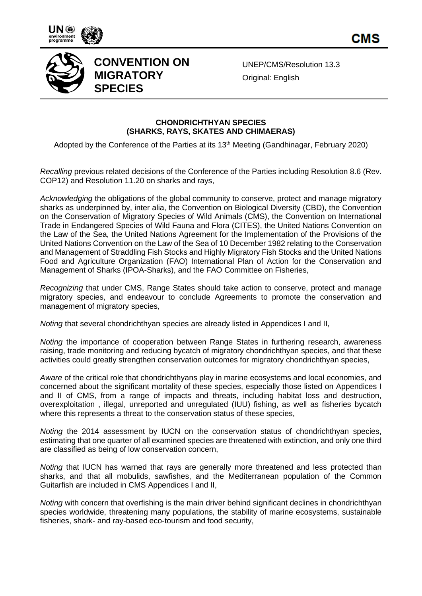

CMS



## **CONVENTION ON MIGRATORY SPECIES**

UNEP/CMS/Resolution 13.3 Original: English

## **CHONDRICHTHYAN SPECIES (SHARKS, RAYS, SKATES AND CHIMAERAS)**

Adopted by the Conference of the Parties at its 13<sup>th</sup> Meeting (Gandhinagar, February 2020)

*Recalling* previous related decisions of the Conference of the Parties including Resolution 8.6 (Rev. COP12) and Resolution 11.20 on sharks and rays,

*Acknowledging* the obligations of the global community to conserve, protect and manage migratory sharks as underpinned by, inter alia, the Convention on Biological Diversity (CBD), the Convention on the Conservation of Migratory Species of Wild Animals (CMS), the Convention on International Trade in Endangered Species of Wild Fauna and Flora (CITES), the United Nations Convention on the Law of the Sea, the United Nations Agreement for the Implementation of the Provisions of the United Nations Convention on the Law of the Sea of 10 December 1982 relating to the Conservation and Management of Straddling Fish Stocks and Highly Migratory Fish Stocks and the United Nations Food and Agriculture Organization (FAO) International Plan of Action for the Conservation and Management of Sharks (IPOA-Sharks), and the FAO Committee on Fisheries,

*Recognizing* that under CMS, Range States should take action to conserve, protect and manage migratory species, and endeavour to conclude Agreements to promote the conservation and management of migratory species,

*Noting* that several chondrichthyan species are already listed in Appendices I and II,

*Noting* the importance of cooperation between Range States in furthering research, awareness raising, trade monitoring and reducing bycatch of migratory chondrichthyan species, and that these activities could greatly strengthen conservation outcomes for migratory chondrichthyan species,

*Aware* of the critical role that chondrichthyans play in marine ecosystems and local economies, and concerned about the significant mortality of these species, especially those listed on Appendices I and II of CMS, from a range of impacts and threats, including habitat loss and destruction, overexploitation , illegal, unreported and unregulated (IUU) fishing, as well as fisheries bycatch where this represents a threat to the conservation status of these species,

*Noting* the 2014 assessment by IUCN on the conservation status of chondrichthyan species, estimating that one quarter of all examined species are threatened with extinction, and only one third are classified as being of low conservation concern,

*Noting* that IUCN has warned that rays are generally more threatened and less protected than sharks, and that all mobulids, sawfishes, and the Mediterranean population of the Common Guitarfish are included in CMS Appendices I and II,

*Noting* with concern that overfishing is the main driver behind significant declines in chondrichthyan species worldwide, threatening many populations, the stability of marine ecosystems, sustainable fisheries, shark- and ray-based eco-tourism and food security,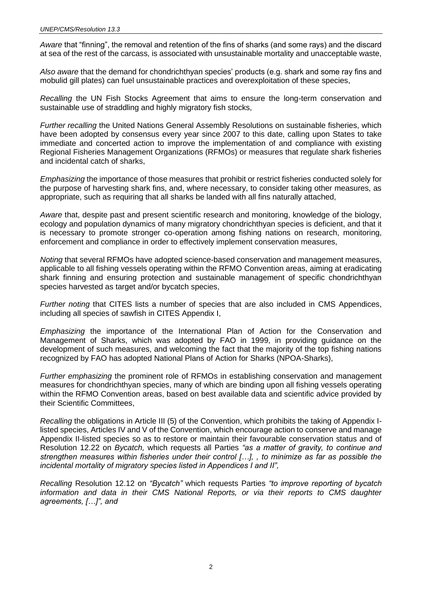*Aware* that "finning", the removal and retention of the fins of sharks (and some rays) and the discard at sea of the rest of the carcass, is associated with unsustainable mortality and unacceptable waste,

*Also aware* that the demand for chondrichthyan species' products (e.g. shark and some ray fins and mobulid gill plates) can fuel unsustainable practices and overexploitation of these species,

*Recalling* the UN Fish Stocks Agreement that aims to ensure the long-term conservation and sustainable use of straddling and highly migratory fish stocks,

*Further recalling* the United Nations General Assembly Resolutions on sustainable fisheries, which have been adopted by consensus every year since 2007 to this date, calling upon States to take immediate and concerted action to improve the implementation of and compliance with existing Regional Fisheries Management Organizations (RFMOs) or measures that regulate shark fisheries and incidental catch of sharks,

*Emphasizing* the importance of those measures that prohibit or restrict fisheries conducted solely for the purpose of harvesting shark fins, and, where necessary, to consider taking other measures, as appropriate, such as requiring that all sharks be landed with all fins naturally attached,

*Aware* that, despite past and present scientific research and monitoring, knowledge of the biology, ecology and population dynamics of many migratory chondrichthyan species is deficient, and that it is necessary to promote stronger co-operation among fishing nations on research, monitoring, enforcement and compliance in order to effectively implement conservation measures,

*Noting* that several RFMOs have adopted science-based conservation and management measures, applicable to all fishing vessels operating within the RFMO Convention areas, aiming at eradicating shark finning and ensuring protection and sustainable management of specific chondrichthyan species harvested as target and/or bycatch species,

*Further noting* that CITES lists a number of species that are also included in CMS Appendices, including all species of sawfish in CITES Appendix I,

*Emphasizing* the importance of the International Plan of Action for the Conservation and Management of Sharks, which was adopted by FAO in 1999, in providing guidance on the development of such measures, and welcoming the fact that the majority of the top fishing nations recognized by FAO has adopted National Plans of Action for Sharks (NPOA-Sharks),

*Further emphasizing* the prominent role of RFMOs in establishing conservation and management measures for chondrichthyan species, many of which are binding upon all fishing vessels operating within the RFMO Convention areas, based on best available data and scientific advice provided by their Scientific Committees,

*Recalling* the obligations in Article III (5) of the Convention, which prohibits the taking of Appendix Ilisted species, Articles IV and V of the Convention, which encourage action to conserve and manage Appendix II-listed species so as to restore or maintain their favourable conservation status and of Resolution 12.22 on *Bycatch,* which requests all Parties *"as a matter of gravity, to continue and strengthen measures within fisheries under their control […], , to minimize as far as possible the incidental mortality of migratory species listed in Appendices I and II",*

*Recalling* Resolution 12.12 on *"Bycatch"* which requests Parties *"to improve reporting of bycatch information and data in their CMS National Reports, or via their reports to CMS daughter agreements, […]", and*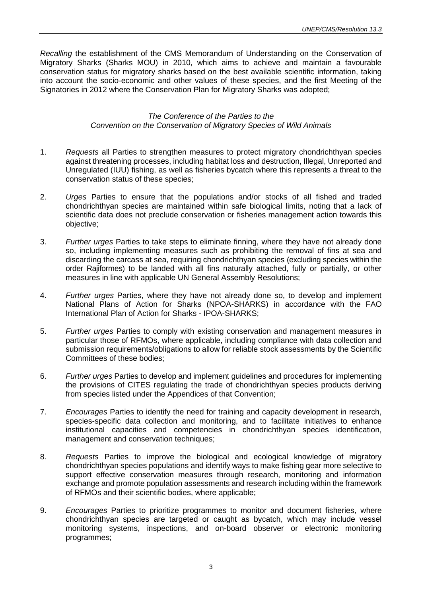*Recalling* the establishment of the CMS Memorandum of Understanding on the Conservation of Migratory Sharks (Sharks MOU) in 2010, which aims to achieve and maintain a favourable conservation status for migratory sharks based on the best available scientific information, taking into account the socio-economic and other values of these species, and the first Meeting of the Signatories in 2012 where the Conservation Plan for Migratory Sharks was adopted;

## *The Conference of the Parties to the Convention on the Conservation of Migratory Species of Wild Animals*

- 1. *Requests* all Parties to strengthen measures to protect migratory chondrichthyan species against threatening processes, including habitat loss and destruction, Illegal, Unreported and Unregulated (IUU) fishing, as well as fisheries bycatch where this represents a threat to the conservation status of these species;
- 2. *Urges* Parties to ensure that the populations and/or stocks of all fished and traded chondrichthyan species are maintained within safe biological limits, noting that a lack of scientific data does not preclude conservation or fisheries management action towards this objective;
- 3. *Further urges* Parties to take steps to eliminate finning, where they have not already done so, including implementing measures such as prohibiting the removal of fins at sea and discarding the carcass at sea, requiring chondrichthyan species (excluding species within the order Rajiformes) to be landed with all fins naturally attached, fully or partially, or other measures in line with applicable UN General Assembly Resolutions;
- 4. *Further urges* Parties, where they have not already done so, to develop and implement National Plans of Action for Sharks (NPOA-SHARKS) in accordance with the FAO International Plan of Action for Sharks - IPOA-SHARKS;
- 5. *Further urges* Parties to comply with existing conservation and management measures in particular those of RFMOs, where applicable, including compliance with data collection and submission requirements/obligations to allow for reliable stock assessments by the Scientific Committees of these bodies;
- 6. *Further urges* Parties to develop and implement guidelines and procedures for implementing the provisions of CITES regulating the trade of chondrichthyan species products deriving from species listed under the Appendices of that Convention;
- 7. *Encourages* Parties to identify the need for training and capacity development in research, species-specific data collection and monitoring, and to facilitate initiatives to enhance institutional capacities and competencies in chondrichthyan species identification, management and conservation techniques;
- 8. *Requests* Parties to improve the biological and ecological knowledge of migratory chondrichthyan species populations and identify ways to make fishing gear more selective to support effective conservation measures through research, monitoring and information exchange and promote population assessments and research including within the framework of RFMOs and their scientific bodies, where applicable;
- 9. *Encourages* Parties to prioritize programmes to monitor and document fisheries, where chondrichthyan species are targeted or caught as bycatch, which may include vessel monitoring systems, inspections, and on-board observer or electronic monitoring programmes;